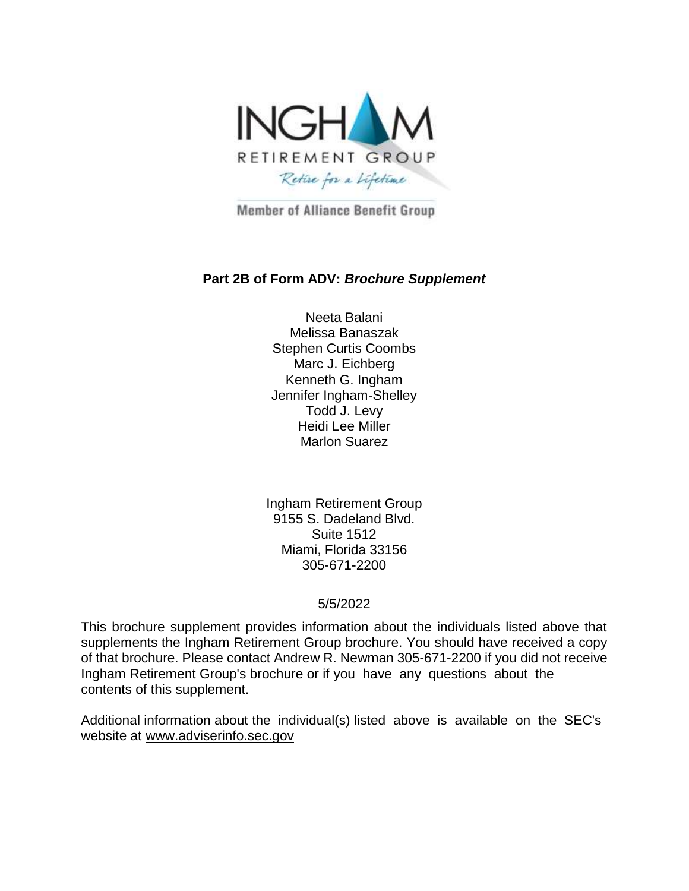

**Member of Alliance Benefit Group** 

#### **Part 2B of Form ADV:** *Brochure Supplement*

Neeta Balani Melissa Banaszak Stephen Curtis Coombs Marc J. Eichberg Kenneth G. Ingham Jennifer Ingham-Shelley Todd J. Levy Heidi Lee Miller Marlon Suarez

Ingham Retirement Group 9155 S. Dadeland Blvd. Suite 1512 Miami, Florida 33156 305-671-2200

#### 5/5/2022

This brochure supplement provides information about the individuals listed above that supplements the Ingham Retirement Group brochure. You should have received a copy of that brochure. Please contact Andrew R. Newman 305-671-2200 if you did not receive Ingham Retirement Group's brochure or if you have any questions about the contents of this supplement.

Additional information about the individual(s) listed above is available on the SEC's website at [www.adviserinfo.sec.gov](http://www.adviserinfo.sec.gov/)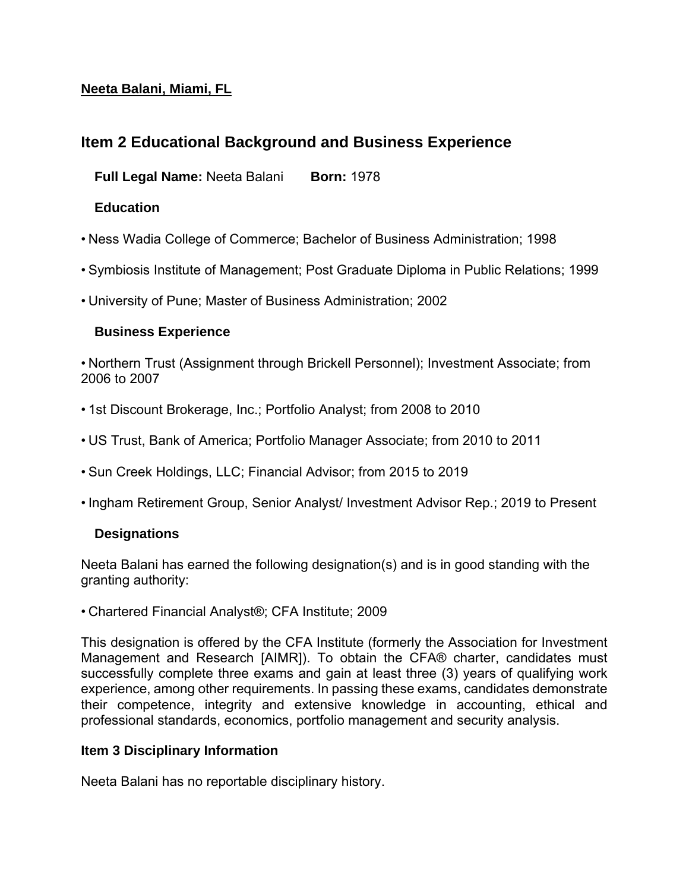### **Neeta Balani, Miami, FL**

# **Item 2 Educational Background and Business Experience**

     **Full Legal Name:** Neeta Balani          **Born:** 1978

### **Education**

- Ness Wadia College of Commerce; Bachelor of Business Administration; 1998
- Symbiosis Institute of Management; Post Graduate Diploma in Public Relations; 1999
- University of Pune; Master of Business Administration; 2002

#### **Business Experience**

• Northern Trust (Assignment through Brickell Personnel); Investment Associate; from 2006 to 2007

- 1st Discount Brokerage, Inc.; Portfolio Analyst; from 2008 to 2010
- US Trust, Bank of America; Portfolio Manager Associate; from 2010 to 2011
- Sun Creek Holdings, LLC; Financial Advisor; from 2015 to 2019
- Ingham Retirement Group, Senior Analyst/ Investment Advisor Rep.; 2019 to Present

### **Designations**

Neeta Balani has earned the following designation(s) and is in good standing with the granting authority:

• Chartered Financial Analyst®; CFA Institute; 2009

This designation is offered by the CFA Institute (formerly the Association for Investment Management and Research [AIMR]). To obtain the CFA® charter, candidates must successfully complete three exams and gain at least three (3) years of qualifying work experience, among other requirements. In passing these exams, candidates demonstrate their competence, integrity and extensive knowledge in accounting, ethical and professional standards, economics, portfolio management and security analysis.

#### **Item 3 Disciplinary Information**

Neeta Balani has no reportable disciplinary history.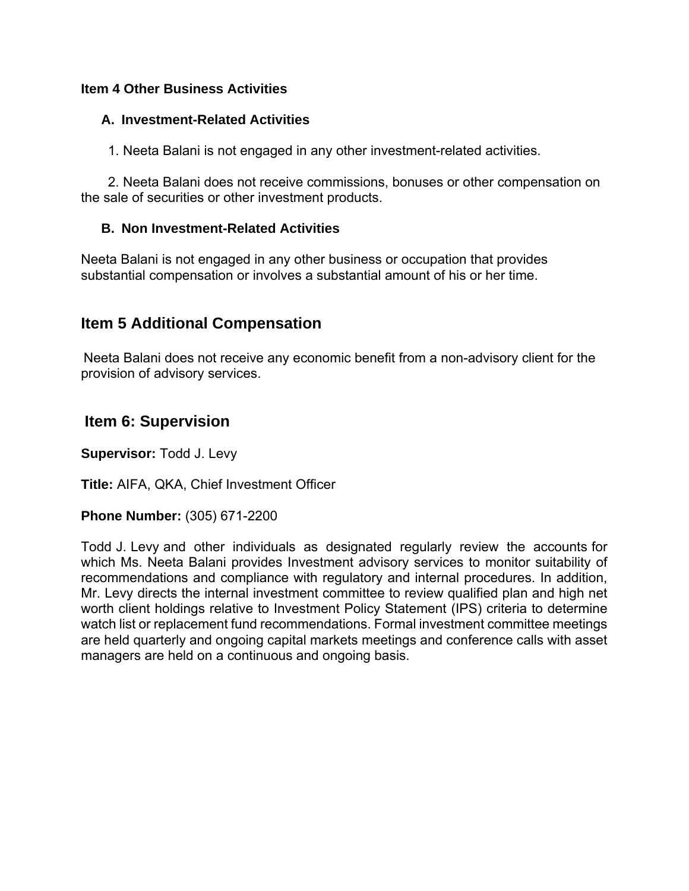#### **Item 4 Other Business Activities**

#### **A. Investment-Related Activities**

          1. Neeta Balani is not engaged in any other investment-related activities.

          2. Neeta Balani does not receive commissions, bonuses or other compensation on the sale of securities or other investment products.

#### **B. Non Investment-Related Activities**

Neeta Balani is not engaged in any other business or occupation that provides substantial compensation or involves a substantial amount of his or her time.

### **Item 5 Additional Compensation**

Neeta Balani does not receive any economic benefit from a non-advisory client for the provision of advisory services.

### **Item 6: Supervision**

**Supervisor:** Todd J. Levy

**Title:** AIFA, QKA, Chief Investment Officer

**Phone Number:** (305) 671-2200

Todd J. Levy and other individuals as designated regularly review the accounts for which Ms. Neeta Balani provides Investment advisory services to monitor suitability of recommendations and compliance with regulatory and internal procedures. In addition, Mr. Levy directs the internal investment committee to review qualified plan and high net worth client holdings relative to Investment Policy Statement (IPS) criteria to determine watch list or replacement fund recommendations. Formal investment committee meetings are held quarterly and ongoing capital markets meetings and conference calls with asset managers are held on a continuous and ongoing basis.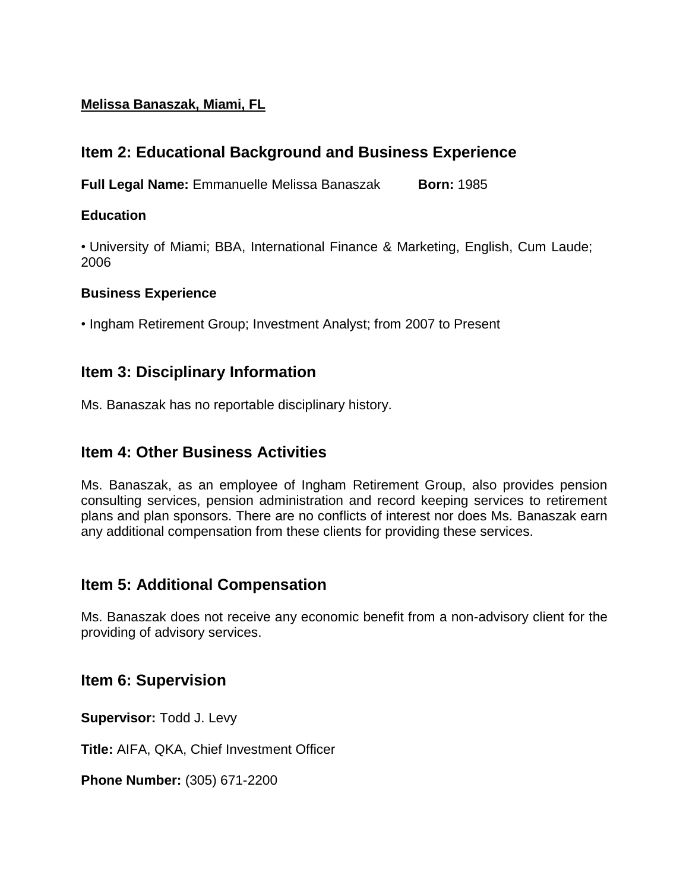### **Melissa Banaszak, Miami, FL**

# **Item 2: Educational Background and Business Experience**

**Full Legal Name:** Emmanuelle Melissa Banaszak **Born:** 1985

### **Education**

• University of Miami; BBA, International Finance & Marketing, English, Cum Laude; 2006

#### **Business Experience**

• Ingham Retirement Group; Investment Analyst; from 2007 to Present

## **Item 3: Disciplinary Information**

Ms. Banaszak has no reportable disciplinary history.

## **Item 4: Other Business Activities**

Ms. Banaszak, as an employee of Ingham Retirement Group, also provides pension consulting services, pension administration and record keeping services to retirement plans and plan sponsors. There are no conflicts of interest nor does Ms. Banaszak earn any additional compensation from these clients for providing these services.

## **Item 5: Additional Compensation**

Ms. Banaszak does not receive any economic benefit from a non-advisory client for the providing of advisory services.

## **Item 6: Supervision**

**Supervisor:** Todd J. Levy

**Title:** AIFA, QKA, Chief Investment Officer

**Phone Number:** (305) 671-2200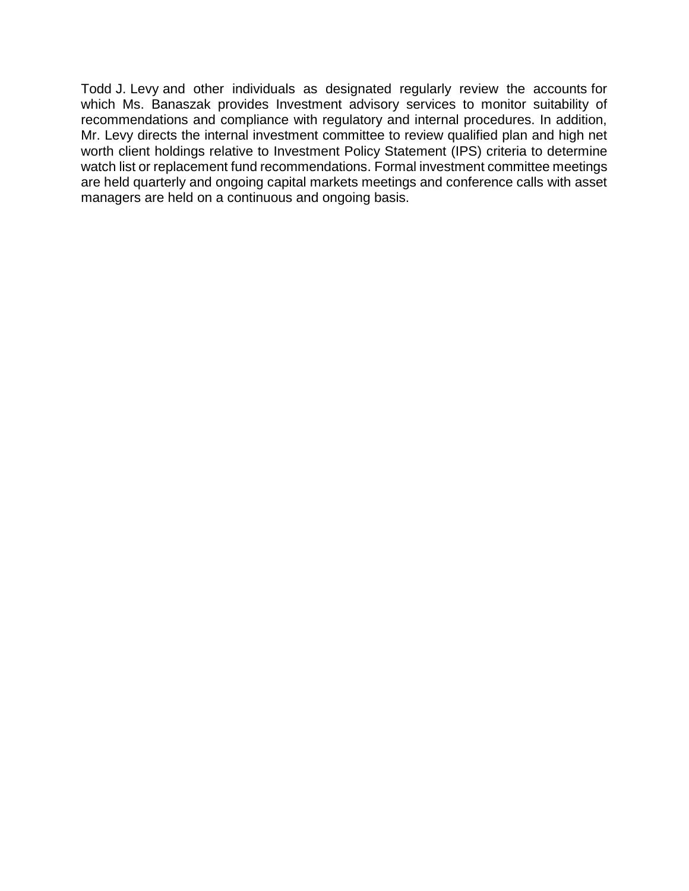Todd J. Levy and other individuals as designated regularly review the accounts for which Ms. Banaszak provides Investment advisory services to monitor suitability of recommendations and compliance with regulatory and internal procedures. In addition, Mr. Levy directs the internal investment committee to review qualified plan and high net worth client holdings relative to Investment Policy Statement (IPS) criteria to determine watch list or replacement fund recommendations. Formal investment committee meetings are held quarterly and ongoing capital markets meetings and conference calls with asset managers are held on a continuous and ongoing basis.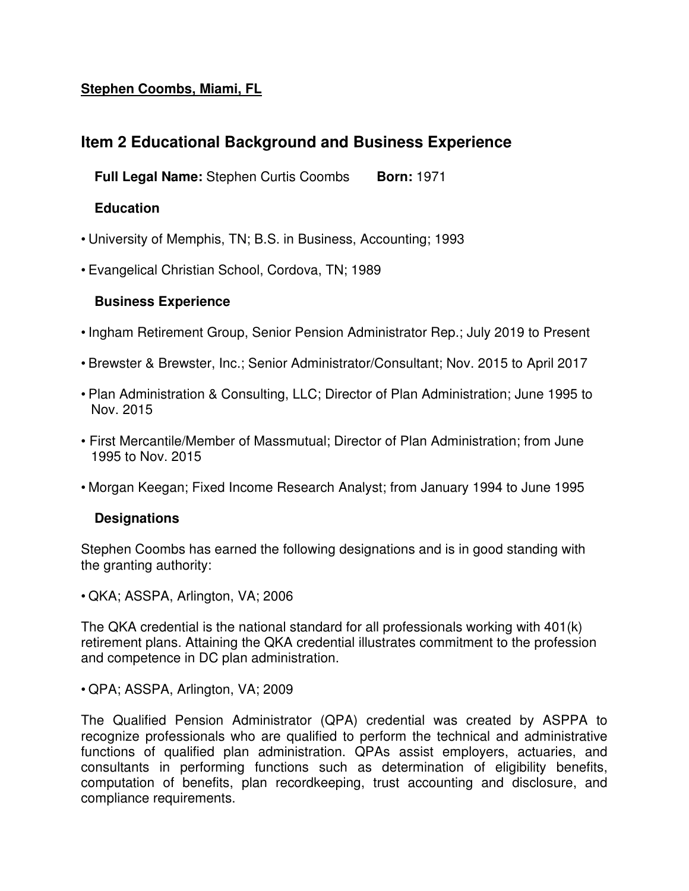### **Stephen Coombs, Miami, FL**

# **Item 2 Educational Background and Business Experience**

     **Full Legal Name:** Stephen Curtis Coombs          **Born:** 1971

#### **Education**

- University of Memphis, TN; B.S. in Business, Accounting; 1993
- Evangelical Christian School, Cordova, TN; 1989

#### **Business Experience**

- Ingham Retirement Group, Senior Pension Administrator Rep.; July 2019 to Present
- Brewster & Brewster, Inc.; Senior Administrator/Consultant; Nov. 2015 to April 2017
- Plan Administration & Consulting, LLC; Director of Plan Administration; June 1995 to Nov. 2015
- First Mercantile/Member of Massmutual; Director of Plan Administration; from June 1995 to Nov. 2015
- Morgan Keegan; Fixed Income Research Analyst; from January 1994 to June 1995

### **Designations**

Stephen Coombs has earned the following designations and is in good standing with the granting authority:

• QKA; ASSPA, Arlington, VA; 2006

The QKA credential is the national standard for all professionals working with 401(k) retirement plans. Attaining the QKA credential illustrates commitment to the profession and competence in DC plan administration.

• QPA; ASSPA, Arlington, VA; 2009

The Qualified Pension Administrator (QPA) credential was created by ASPPA to recognize professionals who are qualified to perform the technical and administrative functions of qualified plan administration. QPAs assist employers, actuaries, and consultants in performing functions such as determination of eligibility benefits, computation of benefits, plan recordkeeping, trust accounting and disclosure, and compliance requirements.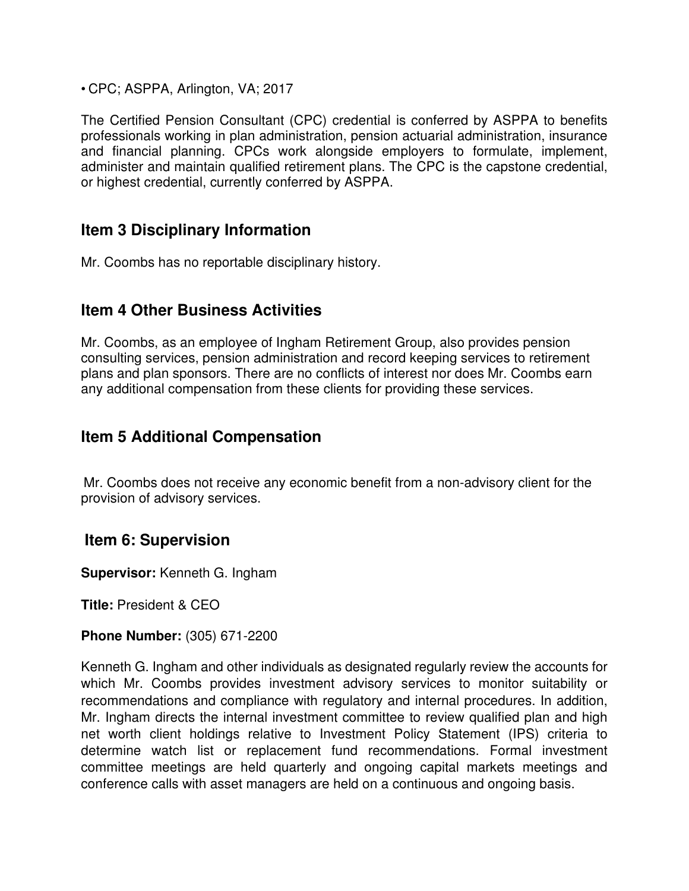• CPC; ASPPA, Arlington, VA; 2017

The Certified Pension Consultant (CPC) credential is conferred by ASPPA to benefits professionals working in plan administration, pension actuarial administration, insurance and financial planning. CPCs work alongside employers to formulate, implement, administer and maintain qualified retirement plans. The CPC is the capstone credential, or highest credential, currently conferred by ASPPA.

## **Item 3 Disciplinary Information**

Mr. Coombs has no reportable disciplinary history.

## **Item 4 Other Business Activities**

Mr. Coombs, as an employee of Ingham Retirement Group, also provides pension consulting services, pension administration and record keeping services to retirement plans and plan sponsors. There are no conflicts of interest nor does Mr. Coombs earn any additional compensation from these clients for providing these services.

## **Item 5 Additional Compensation**

Mr. Coombs does not receive any economic benefit from a non-advisory client for the provision of advisory services.

## **Item 6: Supervision**

**Supervisor:** Kenneth G. Ingham

**Title:** President & CEO

**Phone Number:** (305) 671-2200

Kenneth G. Ingham and other individuals as designated regularly review the accounts for which Mr. Coombs provides investment advisory services to monitor suitability or recommendations and compliance with regulatory and internal procedures. In addition, Mr. Ingham directs the internal investment committee to review qualified plan and high net worth client holdings relative to Investment Policy Statement (IPS) criteria to determine watch list or replacement fund recommendations. Formal investment committee meetings are held quarterly and ongoing capital markets meetings and conference calls with asset managers are held on a continuous and ongoing basis.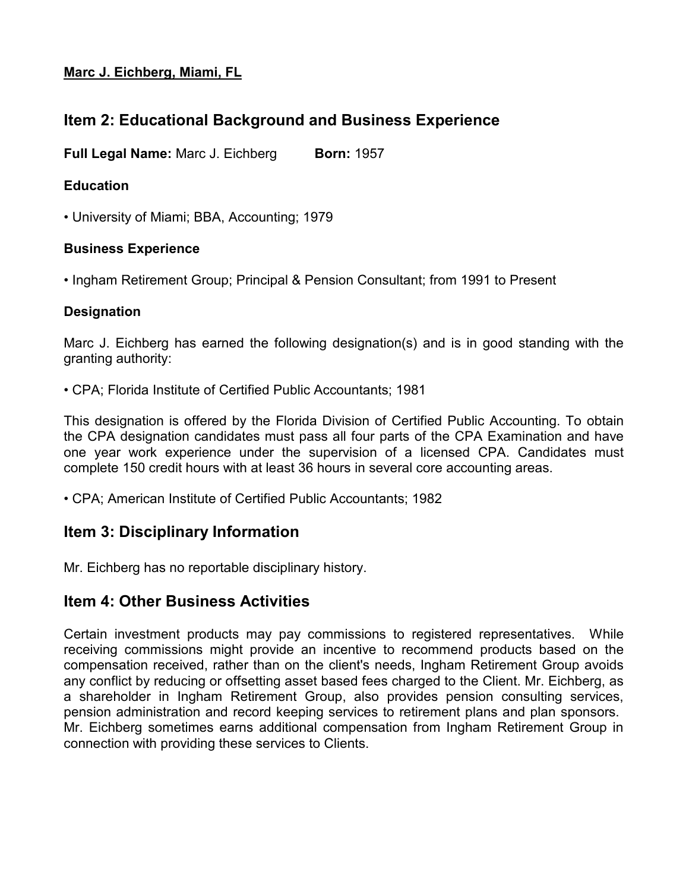#### **Marc J. Eichberg, Miami, FL**

# **Item 2: Educational Background and Business Experience**

**Full Legal Name:** Marc J. Eichberg **Born:** 1957

### **Education**

• University of Miami; BBA, Accounting; 1979

### **Business Experience**

• Ingham Retirement Group; Principal & Pension Consultant; from 1991 to Present

### **Designation**

Marc J. Eichberg has earned the following designation(s) and is in good standing with the granting authority:

• CPA; Florida Institute of Certified Public Accountants; 1981

This designation is offered by the Florida Division of Certified Public Accounting. To obtain the CPA designation candidates must pass all four parts of the CPA Examination and have one year work experience under the supervision of a licensed CPA. Candidates must complete 150 credit hours with at least 36 hours in several core accounting areas.

• CPA; American Institute of Certified Public Accountants; 1982

# **Item 3: Disciplinary Information**

Mr. Eichberg has no reportable disciplinary history.

# **Item 4: Other Business Activities**

Certain investment products may pay commissions to registered representatives. While receiving commissions might provide an incentive to recommend products based on the compensation received, rather than on the client's needs, Ingham Retirement Group avoids any conflict by reducing or offsetting asset based fees charged to the Client. Mr. Eichberg, as a shareholder in Ingham Retirement Group, also provides pension consulting services, pension administration and record keeping services to retirement plans and plan sponsors. Mr. Eichberg sometimes earns additional compensation from Ingham Retirement Group in connection with providing these services to Clients.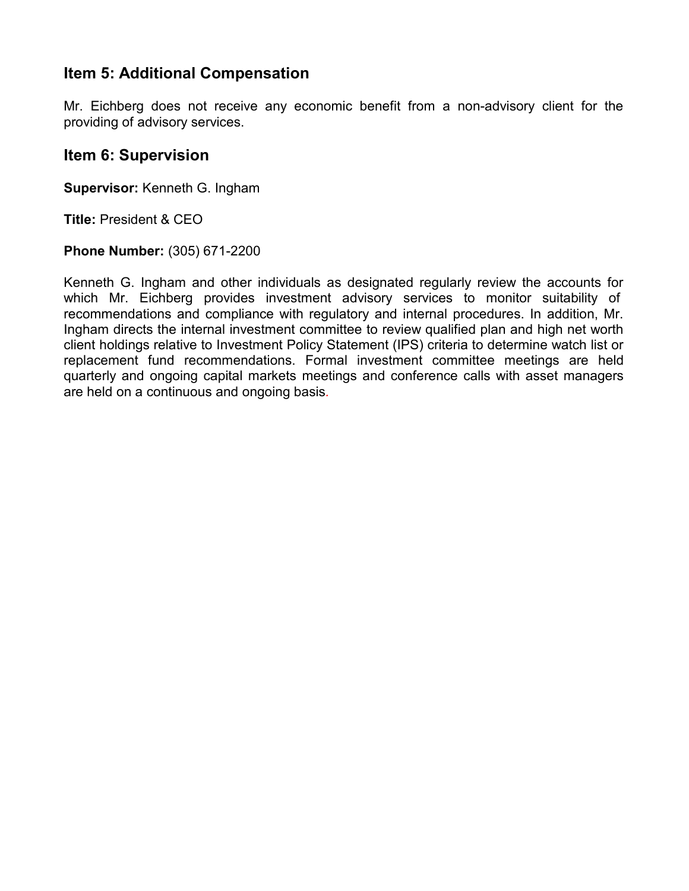## **Item 5: Additional Compensation**

Mr. Eichberg does not receive any economic benefit from a non-advisory client for the providing of advisory services.

### **Item 6: Supervision**

**Supervisor:** Kenneth G. Ingham

**Title:** President & CEO

**Phone Number:** (305) 671-2200

Kenneth G. Ingham and other individuals as designated regularly review the accounts for which Mr. Eichberg provides investment advisory services to monitor suitability of recommendations and compliance with regulatory and internal procedures. In addition, Mr. Ingham directs the internal investment committee to review qualified plan and high net worth client holdings relative to Investment Policy Statement (IPS) criteria to determine watch list or replacement fund recommendations. Formal investment committee meetings are held quarterly and ongoing capital markets meetings and conference calls with asset managers are held on a continuous and ongoing basis*.*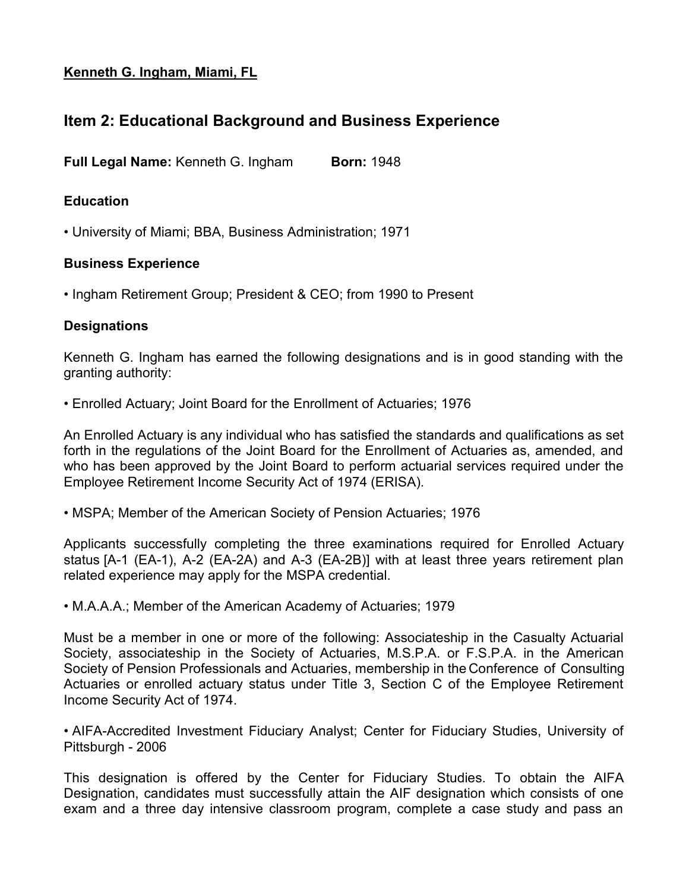### **Kenneth G. Ingham, Miami, FL**

## **Item 2: Educational Background and Business Experience**

**Full Legal Name:** Kenneth G. Ingham **Born:** 1948

#### **Education**

• University of Miami; BBA, Business Administration; 1971

#### **Business Experience**

• Ingham Retirement Group; President & CEO; from 1990 to Present

#### **Designations**

Kenneth G. Ingham has earned the following designations and is in good standing with the granting authority:

• Enrolled Actuary; Joint Board for the Enrollment of Actuaries; 1976

An Enrolled Actuary is any individual who has satisfied the standards and qualifications as set forth in the regulations of the Joint Board for the Enrollment of Actuaries as, amended, and who has been approved by the Joint Board to perform actuarial services required under the Employee Retirement Income Security Act of 1974 (ERISA).

• MSPA; Member of the American Society of Pension Actuaries; 1976

Applicants successfully completing the three examinations required for Enrolled Actuary status [A-1 (EA-1), A-2 (EA-2A) and A-3 (EA-2B)] with at least three years retirement plan related experience may apply for the MSPA credential.

• M.A.A.A.; Member of the American Academy of Actuaries; 1979

Must be a member in one or more of the following: Associateship in the Casualty Actuarial Society, associateship in the Society of Actuaries, M.S.P.A. or F.S.P.A. in the American Society of Pension Professionals and Actuaries, membership in the Conference of Consulting Actuaries or enrolled actuary status under Title 3, Section C of the Employee Retirement Income Security Act of 1974.

• AIFA-Accredited Investment Fiduciary Analyst; Center for Fiduciary Studies, University of Pittsburgh - 2006

This designation is offered by the Center for Fiduciary Studies. To obtain the AIFA Designation, candidates must successfully attain the AIF designation which consists of one exam and a three day intensive classroom program, complete a case study and pass an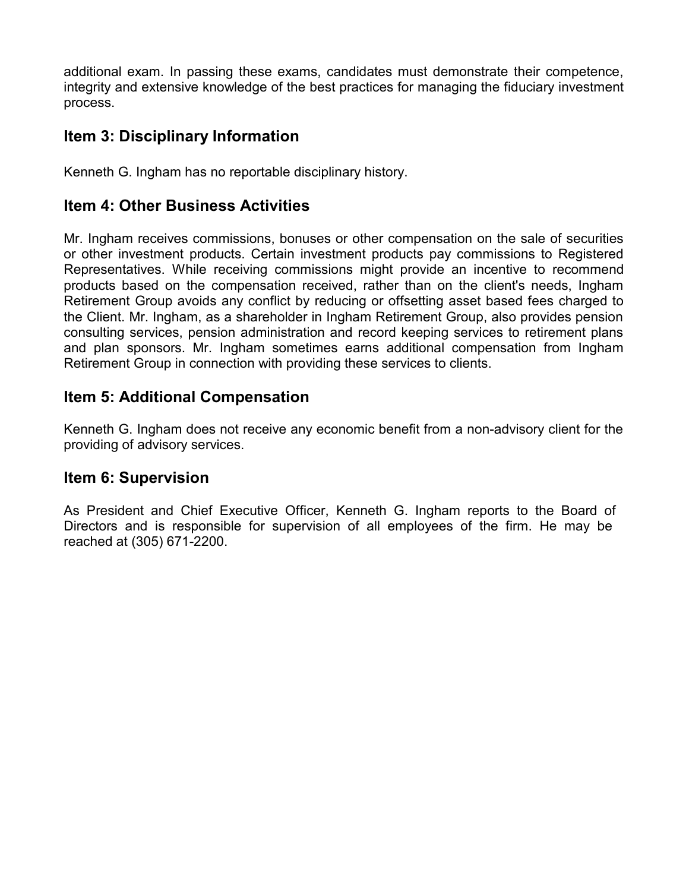additional exam. In passing these exams, candidates must demonstrate their competence, integrity and extensive knowledge of the best practices for managing the fiduciary investment process.

## **Item 3: Disciplinary Information**

Kenneth G. Ingham has no reportable disciplinary history.

## **Item 4: Other Business Activities**

Mr. Ingham receives commissions, bonuses or other compensation on the sale of securities or other investment products. Certain investment products pay commissions to Registered Representatives. While receiving commissions might provide an incentive to recommend products based on the compensation received, rather than on the client's needs, Ingham Retirement Group avoids any conflict by reducing or offsetting asset based fees charged to the Client. Mr. Ingham, as a shareholder in Ingham Retirement Group, also provides pension consulting services, pension administration and record keeping services to retirement plans and plan sponsors. Mr. Ingham sometimes earns additional compensation from Ingham Retirement Group in connection with providing these services to clients.

## **Item 5: Additional Compensation**

Kenneth G. Ingham does not receive any economic benefit from a non-advisory client for the providing of advisory services.

## **Item 6: Supervision**

As President and Chief Executive Officer, Kenneth G. Ingham reports to the Board of Directors and is responsible for supervision of all employees of the firm. He may be reached at (305) 671-2200.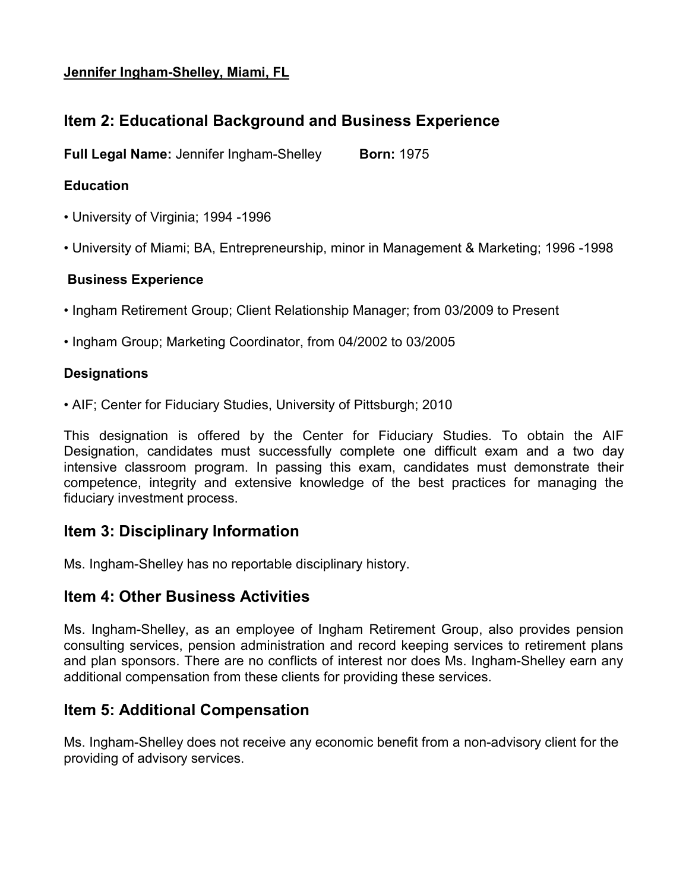#### **Jennifer Ingham-Shelley, Miami, FL**

# **Item 2: Educational Background and Business Experience**

**Full Legal Name:** Jennifer Ingham-Shelley **Born:** 1975

### **Education**

- University of Virginia; 1994 -1996
- University of Miami; BA, Entrepreneurship, minor in Management & Marketing; 1996 -1998

### **Business Experience**

- Ingham Retirement Group; Client Relationship Manager; from 03/2009 to Present
- Ingham Group; Marketing Coordinator, from 04/2002 to 03/2005

### **Designations**

• AIF; Center for Fiduciary Studies, University of Pittsburgh; 2010

This designation is offered by the Center for Fiduciary Studies. To obtain the AIF Designation, candidates must successfully complete one difficult exam and a two day intensive classroom program. In passing this exam, candidates must demonstrate their competence, integrity and extensive knowledge of the best practices for managing the fiduciary investment process.

# **Item 3: Disciplinary Information**

Ms. Ingham-Shelley has no reportable disciplinary history.

# **Item 4: Other Business Activities**

Ms. Ingham-Shelley, as an employee of Ingham Retirement Group, also provides pension consulting services, pension administration and record keeping services to retirement plans and plan sponsors. There are no conflicts of interest nor does Ms. Ingham-Shelley earn any additional compensation from these clients for providing these services.

# **Item 5: Additional Compensation**

Ms. Ingham-Shelley does not receive any economic benefit from a non-advisory client for the providing of advisory services.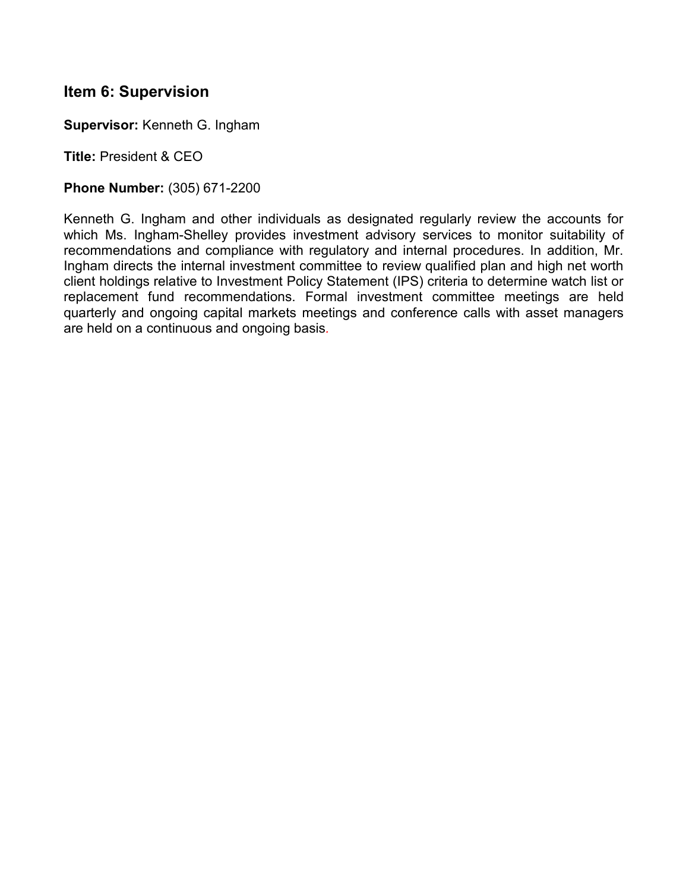## **Item 6: Supervision**

**Supervisor:** Kenneth G. Ingham

**Title:** President & CEO

#### **Phone Number:** (305) 671-2200

Kenneth G. Ingham and other individuals as designated regularly review the accounts for which Ms. Ingham-Shelley provides investment advisory services to monitor suitability of recommendations and compliance with regulatory and internal procedures. In addition, Mr. Ingham directs the internal investment committee to review qualified plan and high net worth client holdings relative to Investment Policy Statement (IPS) criteria to determine watch list or replacement fund recommendations. Formal investment committee meetings are held quarterly and ongoing capital markets meetings and conference calls with asset managers are held on a continuous and ongoing basis*.*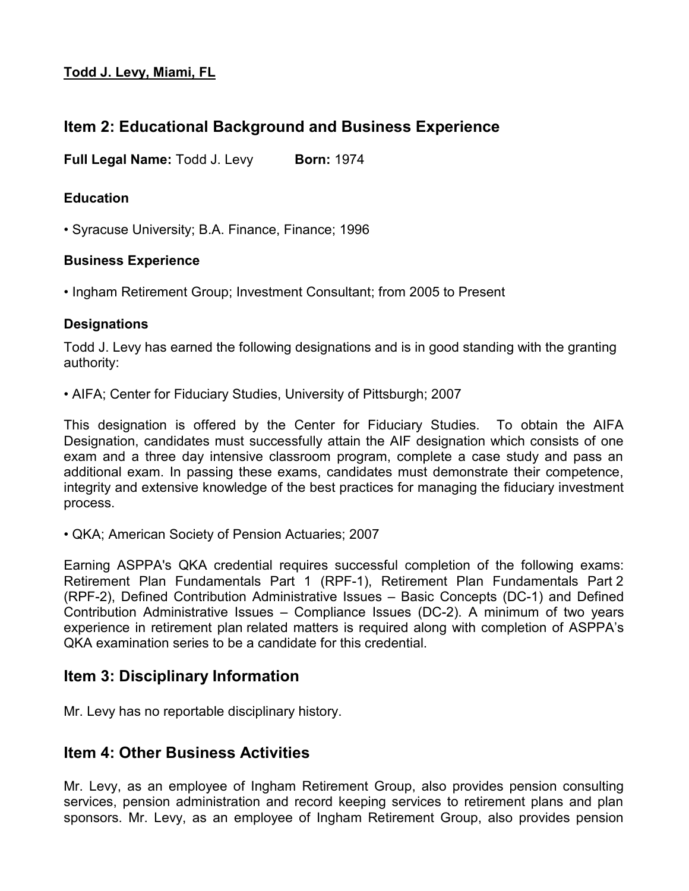### **Todd J. Levy, Miami, FL**

# **Item 2: Educational Background and Business Experience**

**Full Legal Name:** Todd J. Levy **Born:** 1974

#### **Education**

• Syracuse University; B.A. Finance, Finance; 1996

#### **Business Experience**

• Ingham Retirement Group; Investment Consultant; from 2005 to Present

#### **Designations**

Todd J. Levy has earned the following designations and is in good standing with the granting authority:

• AIFA; Center for Fiduciary Studies, University of Pittsburgh; 2007

This designation is offered by the Center for Fiduciary Studies. To obtain the AIFA Designation, candidates must successfully attain the AIF designation which consists of one exam and a three day intensive classroom program, complete a case study and pass an additional exam. In passing these exams, candidates must demonstrate their competence, integrity and extensive knowledge of the best practices for managing the fiduciary investment process.

• QKA; American Society of Pension Actuaries; 2007

Earning ASPPA's QKA credential requires successful completion of the following exams: Retirement Plan Fundamentals Part 1 (RPF-1), Retirement Plan Fundamentals Part 2 (RPF-2), Defined Contribution Administrative Issues – Basic Concepts (DC-1) and Defined Contribution Administrative Issues – Compliance Issues (DC-2). A minimum of two years experience in retirement plan related matters is required along with completion of ASPPA's QKA examination series to be a candidate for this credential.

## **Item 3: Disciplinary Information**

Mr. Levy has no reportable disciplinary history.

## **Item 4: Other Business Activities**

Mr. Levy, as an employee of Ingham Retirement Group, also provides pension consulting services, pension administration and record keeping services to retirement plans and plan sponsors. Mr. Levy, as an employee of Ingham Retirement Group, also provides pension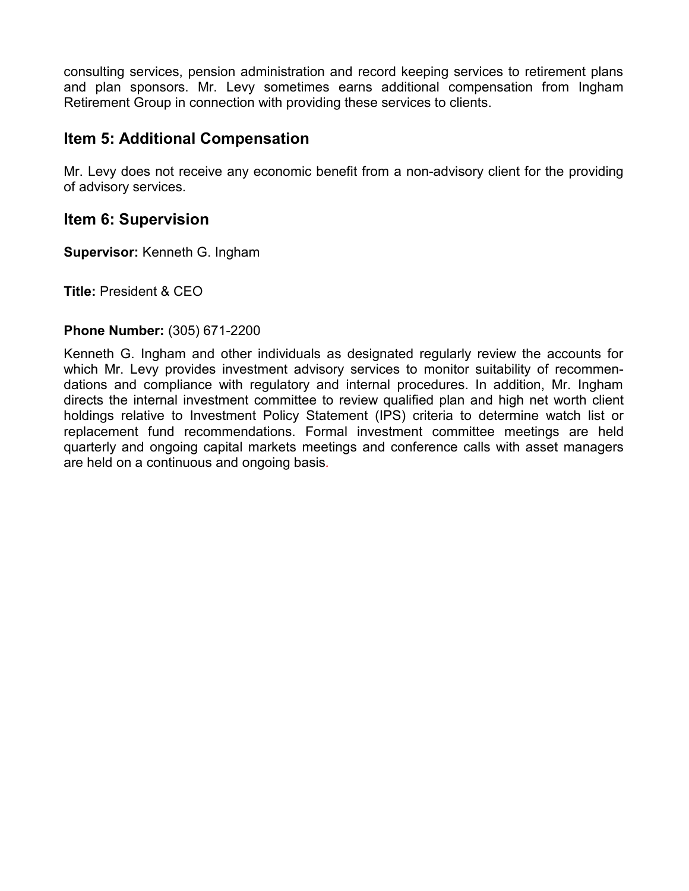consulting services, pension administration and record keeping services to retirement plans and plan sponsors. Mr. Levy sometimes earns additional compensation from Ingham Retirement Group in connection with providing these services to clients.

## **Item 5: Additional Compensation**

Mr. Levy does not receive any economic benefit from a non-advisory client for the providing of advisory services.

#### **Item 6: Supervision**

**Supervisor:** Kenneth G. Ingham

**Title:** President & CEO

#### **Phone Number:** (305) 671-2200

Kenneth G. Ingham and other individuals as designated regularly review the accounts for which Mr. Levy provides investment advisory services to monitor suitability of recommendations and compliance with regulatory and internal procedures. In addition, Mr. Ingham directs the internal investment committee to review qualified plan and high net worth client holdings relative to Investment Policy Statement (IPS) criteria to determine watch list or replacement fund recommendations. Formal investment committee meetings are held quarterly and ongoing capital markets meetings and conference calls with asset managers are held on a continuous and ongoing basis*.*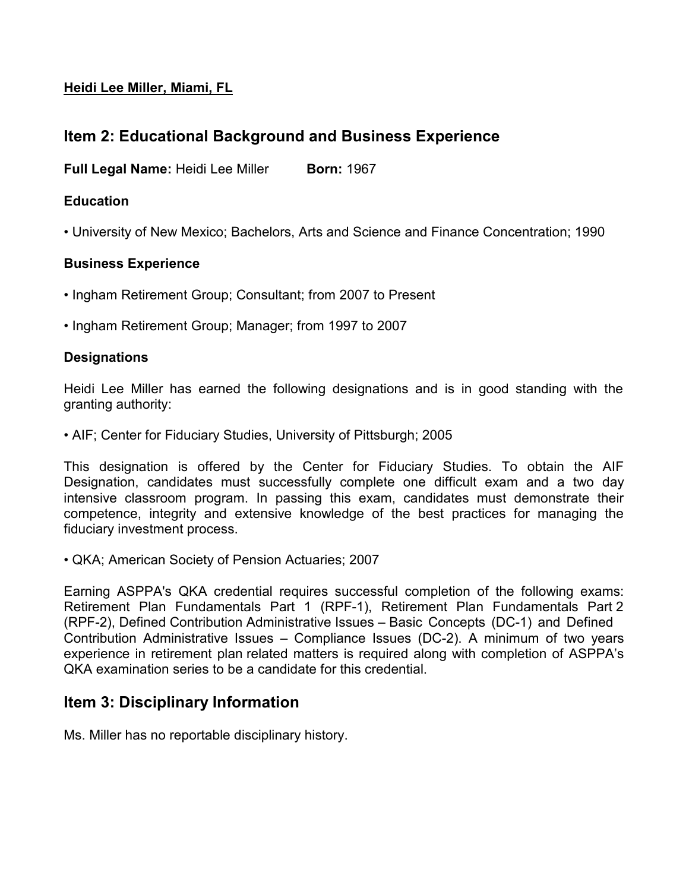### **Heidi Lee Miller, Miami, FL**

# **Item 2: Educational Background and Business Experience**

**Full Legal Name: Heidi Lee Miller Born: 1967** 

#### **Education**

• University of New Mexico; Bachelors, Arts and Science and Finance Concentration; 1990

#### **Business Experience**

- Ingham Retirement Group; Consultant; from 2007 to Present
- Ingham Retirement Group; Manager; from 1997 to 2007

#### **Designations**

Heidi Lee Miller has earned the following designations and is in good standing with the granting authority:

• AIF; Center for Fiduciary Studies, University of Pittsburgh; 2005

This designation is offered by the Center for Fiduciary Studies. To obtain the AIF Designation, candidates must successfully complete one difficult exam and a two day intensive classroom program. In passing this exam, candidates must demonstrate their competence, integrity and extensive knowledge of the best practices for managing the fiduciary investment process.

• QKA; American Society of Pension Actuaries; 2007

Earning ASPPA's QKA credential requires successful completion of the following exams: Retirement Plan Fundamentals Part 1 (RPF-1), Retirement Plan Fundamentals Part 2 (RPF-2), Defined Contribution Administrative Issues – Basic Concepts (DC-1) and Defined Contribution Administrative Issues – Compliance Issues (DC-2). A minimum of two years experience in retirement plan related matters is required along with completion of ASPPA's QKA examination series to be a candidate for this credential.

## **Item 3: Disciplinary Information**

Ms. Miller has no reportable disciplinary history.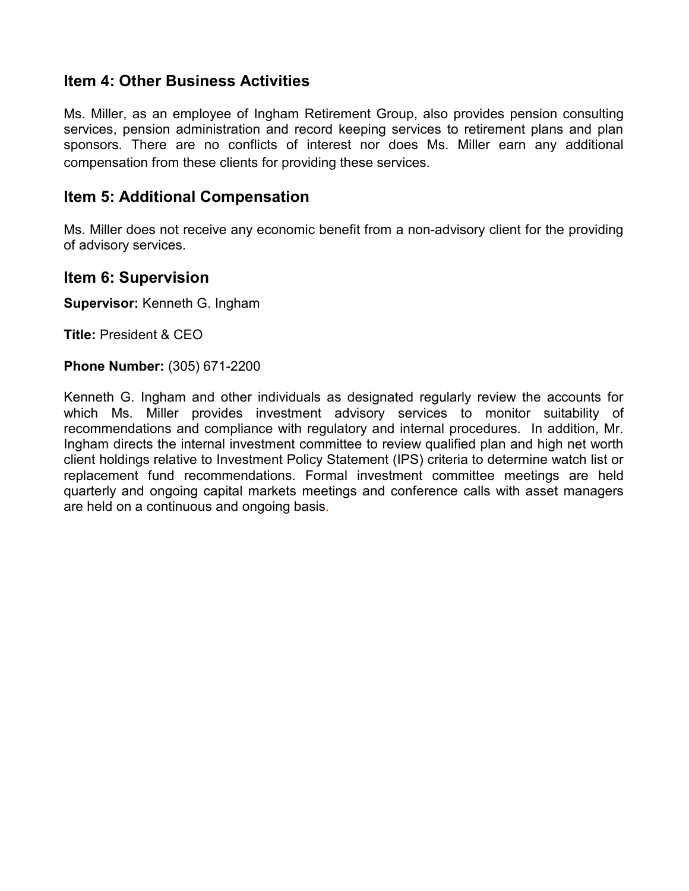## **Item 4: Other Business Activities**

Ms. Miller, as an employee of Ingham Retirement Group, also provides pension consulting services, pension administration and record keeping services to retirement plans and plan sponsors. There are no conflicts of interest nor does Ms. Miller earn any additional compensation from these clients for providing these services.

## **Item 5: Additional Compensation**

Ms. Miller does not receive any economic benefit from a non-advisory client for the providing of advisory services.

### **Item 6: Supervision**

**Supervisor:** Kenneth G. Ingham

**Title:** President & CEO

#### **Phone Number:** (305) 671-2200

Kenneth G. Ingham and other individuals as designated regularly review the accounts for which Ms. Miller provides investment advisory services to monitor suitability of recommendations and compliance with regulatory and internal procedures. In addition, Mr. Ingham directs the internal investment committee to review qualified plan and high net worth client holdings relative to Investment Policy Statement (IPS) criteria to determine watch list or replacement fund recommendations. Formal investment committee meetings are held quarterly and ongoing capital markets meetings and conference calls with asset managers are held on a continuous and ongoing basis*.*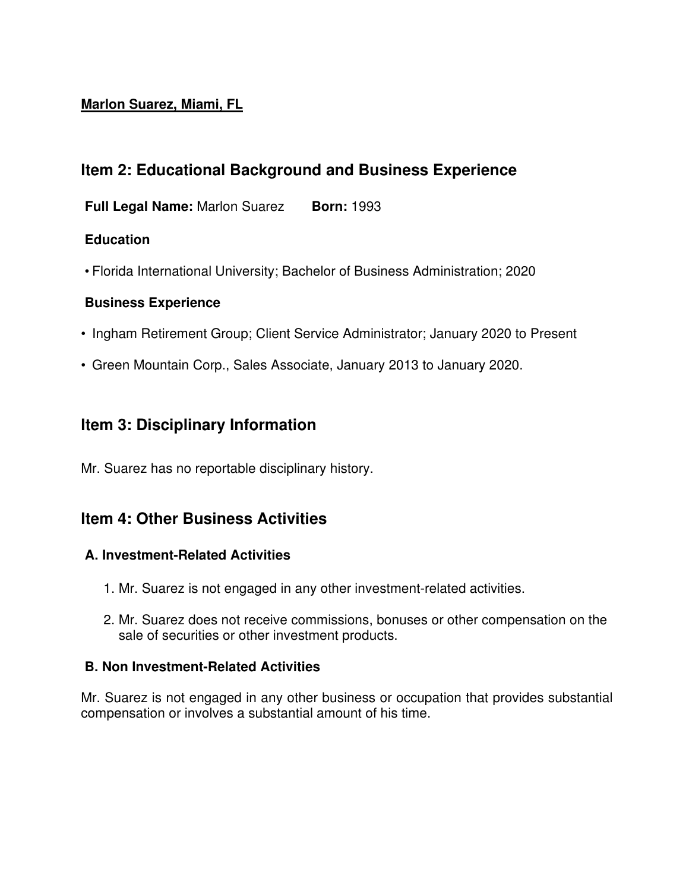### **Marlon Suarez, Miami, FL**

# **Item 2: Educational Background and Business Experience**

**Full Legal Name:** Marlon Suarez          **Born:** 1993

### **Education**

• Florida International University; Bachelor of Business Administration; 2020

### **Business Experience**

- Ingham Retirement Group; Client Service Administrator; January 2020 to Present
- Green Mountain Corp., Sales Associate, January 2013 to January 2020.

## **Item 3: Disciplinary Information**

Mr. Suarez has no reportable disciplinary history.

## **Item 4: Other Business Activities**

### **A. Investment-Related Activities**

- 1. Mr. Suarez is not engaged in any other investment-related activities.
- 2. Mr. Suarez does not receive commissions, bonuses or other compensation on the sale of securities or other investment products.

#### **B. Non Investment-Related Activities**

Mr. Suarez is not engaged in any other business or occupation that provides substantial compensation or involves a substantial amount of his time.